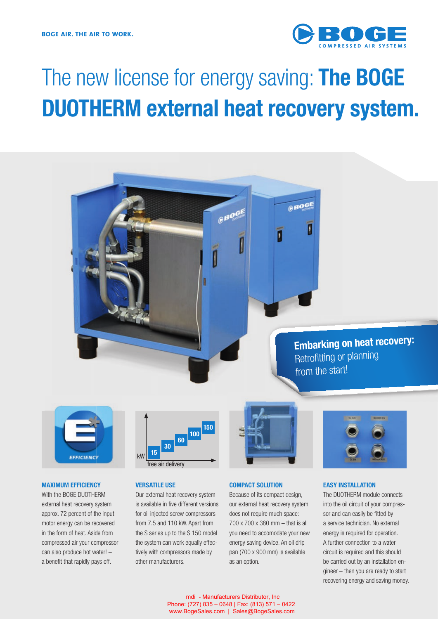

# The new license for energy saving: **The BOGE DUOTHERM external heat recovery system.**





#### **MAXIMUM EFFICIENCY**

With the BOGE DUOTHERM external heat recovery system approx. 72 percent of the input motor energy can be recovered in the form of heat. Aside from compressed air your compressor can also produce hot water! – a benefit that rapidly pays off.



# **VERSATILE USE**

Our external heat recovery system is available in five different versions for oil injected screw compressors from 7.5 and 110 kW. Apart from the S series up to the S 150 model the system can work equally effectively with compressors made by other manufacturers.



#### **COMPACT SOLUTION**

Because of its compact design, our external heat recovery system does not require much space: 700 x 700 x 380 mm – that is all you need to accomodate your new energy saving device. An oil drip pan (700 x 900 mm) is available as an option.



## **EASY INSTALLATION**

The DUOTHERM module connects into the oil circuit of your compressor and can easily be fitted by a service technician. No external energy is required for operation. A further connection to a water circuit is required and this should be carried out by an installation engineer – then you are ready to start recovering energy and saving money.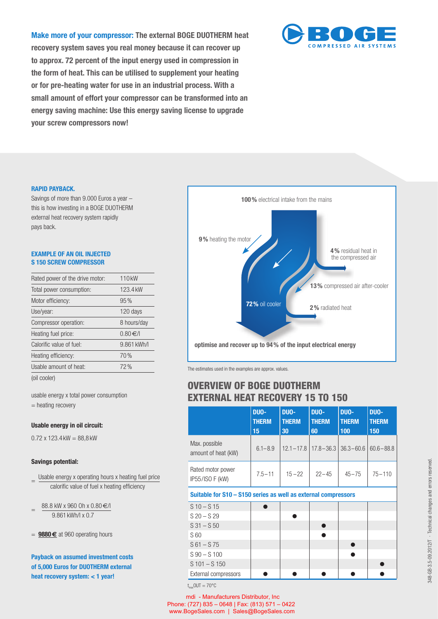**Make more of your compressor: The external BOGE DUOTHERM heat recovery system saves you real money because it can recover up**  to approx. 72 percent of the input energy used in compression in **the form of heat. This can be utilised to supplement your heating or for pre-heating water for use in an industrial process. With a small amount of effort your compressor can be transformed into an energy saving machine: Use this energy saving license to upgrade your screw compressors now!**



## **RAPID PAYBACK.**

Savings of more than 9.000 Euros a year – this is how investing in a BOGE DUOTHERM external heat recovery system rapidly pays back.

# **EXAMPLE OF AN OIL INJECTED S 150 SCREW COMPRESSOR**

| Rated power of the drive motor: | 110 <sub>kW</sub> |
|---------------------------------|-------------------|
| Total power consumption:        | 123.4 kW          |
| Motor efficiency:               | 95%               |
| Use/year:                       | 120 days          |
| Compressor operation:           | 8 hours/day       |
| Heating fuel price:             | 0.80€/            |
| Calorific value of fuel:        | 9.861 kWh/l       |
| Heating efficiency:             | 70%               |
| Usable amount of heat:          | 72%               |
| $1 - 11 = -1 - 1$               |                   |

(oil cooler)

usable energy x total power consumption = heating recovery

# **Usable energy in oil circuit:**

 $0.72 \times 123.4 \text{ kW} = 88.8 \text{ kW}$ 

# **Savings potential:**

Usable energy x operating hours x heating fuel price calorific value of fuel x heating efficiency

 $=$  88.8 kW x 960 Oh x 0.80 €/l 9.861 kWh/l x 0.7

**Payback on assumed investment costs of 5,000 Euros for DUOTHERM external heat recovery system: < 1 year!** 



The estimates used in the examples are approx. values.

# **OVERVIEW OF BOGE DUOTHERM EXTERNAL HEAT RECOVERY 15 TO 150**

|                                                                | DUO-<br><b>THERM</b><br>15 | DUO-<br><b>THERM</b><br>30 | DUO-<br><b>THERM</b><br>60 | DUO-<br><b>THERM</b><br>100 | DUO-<br><b>THERM</b><br>150 |
|----------------------------------------------------------------|----------------------------|----------------------------|----------------------------|-----------------------------|-----------------------------|
| Max. possible<br>amount of heat (kW)                           | $6.1 - 8.9$                | $12.1 - 17.8$              | $17.8 - 36.3$              | $36.3 - 60.6$               | $60.6 - 88.8$               |
| Rated motor power<br>IP55/ISO F (kW)                           | $7.5 - 11$                 | $15 - 22$                  | $22 - 45$                  | $45 - 75$                   | $75 - 110$                  |
| Suitable for S10 – S150 series as well as external compressors |                            |                            |                            |                             |                             |
| $S$ 10 – S 15                                                  |                            |                            |                            |                             |                             |
| $S$ 20 – S 29                                                  |                            |                            |                            |                             |                             |
| $S$ 31 - $S$ 50                                                |                            |                            |                            |                             |                             |
| S 60                                                           |                            |                            |                            |                             |                             |
| $S61 - S75$                                                    |                            |                            |                            |                             |                             |
|                                                                |                            |                            |                            |                             |                             |
| $S$ 90 $- S$ 100                                               |                            |                            |                            |                             |                             |
| $S$ 101 – S 150                                                |                            |                            |                            |                             |                             |

 $t_{\text{max}}$ OUT = 70°C

mdi - Manufacturers Distributor, Inc Phone: (727) 835 – 0648 | Fax: (813) 571 – 0422 www.BogeSales.com | Sales@BogeSales.com

<sup>=</sup> **9880 €** at 960 operating hours